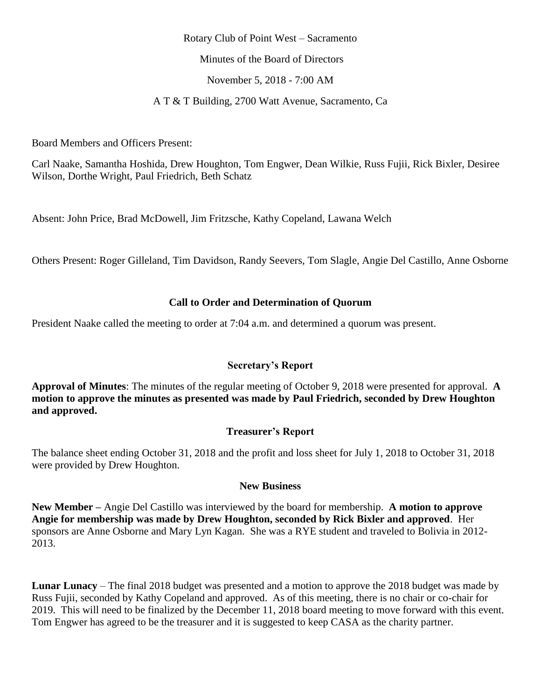#### Rotary Club of Point West – Sacramento

Minutes of the Board of Directors

November 5, 2018 - 7:00 AM

A T & T Building, 2700 Watt Avenue, Sacramento, Ca

Board Members and Officers Present:

Carl Naake, Samantha Hoshida, Drew Houghton, Tom Engwer, Dean Wilkie, Russ Fujii, Rick Bixler, Desiree Wilson, Dorthe Wright, Paul Friedrich, Beth Schatz

Absent: John Price, Brad McDowell, Jim Fritzsche, Kathy Copeland, Lawana Welch

Others Present: Roger Gilleland, Tim Davidson, Randy Seevers, Tom Slagle, Angie Del Castillo, Anne Osborne

## **Call to Order and Determination of Quorum**

President Naake called the meeting to order at 7:04 a.m. and determined a quorum was present.

## **Secretary's Report**

**Approval of Minutes**: The minutes of the regular meeting of October 9, 2018 were presented for approval. **A motion to approve the minutes as presented was made by Paul Friedrich, seconded by Drew Houghton and approved.**

# **Treasurer's Report**

The balance sheet ending October 31, 2018 and the profit and loss sheet for July 1, 2018 to October 31, 2018 were provided by Drew Houghton.

## **New Business**

**New Member –** Angie Del Castillo was interviewed by the board for membership. **A motion to approve Angie for membership was made by Drew Houghton, seconded by Rick Bixler and approved**. Her sponsors are Anne Osborne and Mary Lyn Kagan. She was a RYE student and traveled to Bolivia in 2012- 2013.

**Lunar Lunacy** – The final 2018 budget was presented and a motion to approve the 2018 budget was made by Russ Fujii, seconded by Kathy Copeland and approved. As of this meeting, there is no chair or co-chair for 2019. This will need to be finalized by the December 11, 2018 board meeting to move forward with this event. Tom Engwer has agreed to be the treasurer and it is suggested to keep CASA as the charity partner.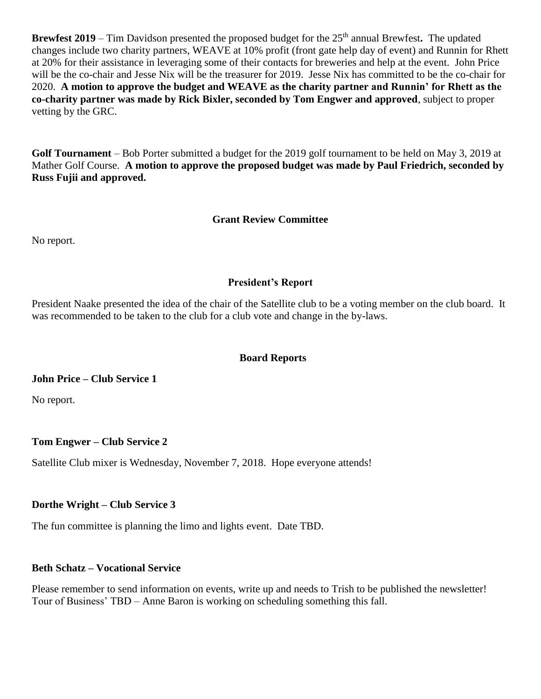**Brewfest 2019** – Tim Davidson presented the proposed budget for the 25<sup>th</sup> annual Brewfest. The updated changes include two charity partners, WEAVE at 10% profit (front gate help day of event) and Runnin for Rhett at 20% for their assistance in leveraging some of their contacts for breweries and help at the event. John Price will be the co-chair and Jesse Nix will be the treasurer for 2019. Jesse Nix has committed to be the co-chair for 2020. **A motion to approve the budget and WEAVE as the charity partner and Runnin' for Rhett as the co-charity partner was made by Rick Bixler, seconded by Tom Engwer and approved**, subject to proper vetting by the GRC.

**Golf Tournament** – Bob Porter submitted a budget for the 2019 golf tournament to be held on May 3, 2019 at Mather Golf Course. **A motion to approve the proposed budget was made by Paul Friedrich, seconded by Russ Fujii and approved.**

## **Grant Review Committee**

No report.

## **President's Report**

President Naake presented the idea of the chair of the Satellite club to be a voting member on the club board. It was recommended to be taken to the club for a club vote and change in the by-laws.

## **Board Reports**

## **John Price – Club Service 1**

No report.

# **Tom Engwer – Club Service 2**

Satellite Club mixer is Wednesday, November 7, 2018. Hope everyone attends!

## **Dorthe Wright – Club Service 3**

The fun committee is planning the limo and lights event. Date TBD.

# **Beth Schatz – Vocational Service**

Please remember to send information on events, write up and needs to Trish to be published the newsletter! Tour of Business' TBD – Anne Baron is working on scheduling something this fall.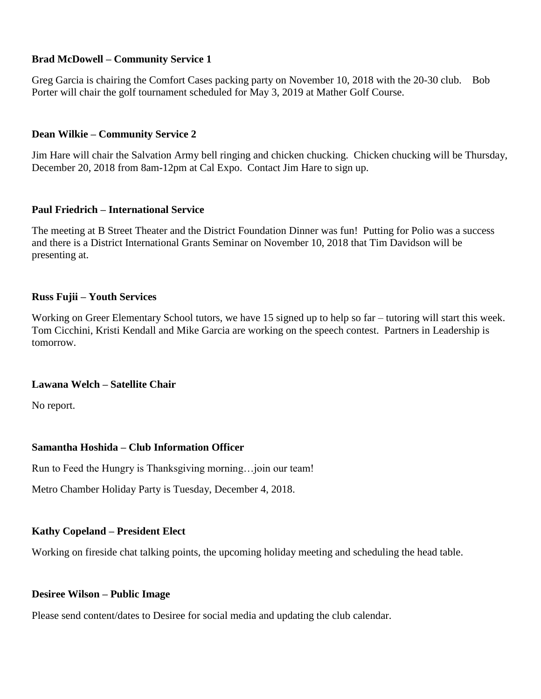## **Brad McDowell – Community Service 1**

Greg Garcia is chairing the Comfort Cases packing party on November 10, 2018 with the 20-30 club. Bob Porter will chair the golf tournament scheduled for May 3, 2019 at Mather Golf Course.

## **Dean Wilkie – Community Service 2**

Jim Hare will chair the Salvation Army bell ringing and chicken chucking. Chicken chucking will be Thursday, December 20, 2018 from 8am-12pm at Cal Expo. Contact Jim Hare to sign up.

## **Paul Friedrich – International Service**

The meeting at B Street Theater and the District Foundation Dinner was fun! Putting for Polio was a success and there is a District International Grants Seminar on November 10, 2018 that Tim Davidson will be presenting at.

## **Russ Fujii – Youth Services**

Working on Greer Elementary School tutors, we have 15 signed up to help so far – tutoring will start this week. Tom Cicchini, Kristi Kendall and Mike Garcia are working on the speech contest. Partners in Leadership is tomorrow.

## **Lawana Welch – Satellite Chair**

No report.

# **Samantha Hoshida – Club Information Officer**

Run to Feed the Hungry is Thanksgiving morning…join our team!

Metro Chamber Holiday Party is Tuesday, December 4, 2018.

# **Kathy Copeland – President Elect**

Working on fireside chat talking points, the upcoming holiday meeting and scheduling the head table.

## **Desiree Wilson – Public Image**

Please send content/dates to Desiree for social media and updating the club calendar.